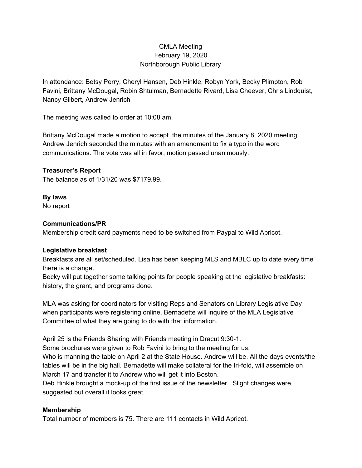## CMLA Meeting February 19, 2020 Northborough Public Library

In attendance: Betsy Perry, Cheryl Hansen, Deb Hinkle, Robyn York, Becky Plimpton, Rob Favini, Brittany McDougal, Robin Shtulman, Bernadette Rivard, Lisa Cheever, Chris Lindquist, Nancy Gilbert, Andrew Jenrich

The meeting was called to order at 10:08 am.

Brittany McDougal made a motion to accept the minutes of the January 8, 2020 meeting. Andrew Jenrich seconded the minutes with an amendment to fix a typo in the word communications. The vote was all in favor, motion passed unanimously.

## **Treasurer's Report**

The balance as of 1/31/20 was \$7179.99.

# **By laws**

No report

#### **Communications/PR**

Membership credit card payments need to be switched from Paypal to Wild Apricot.

## **Legislative breakfast**

Breakfasts are all set/scheduled. Lisa has been keeping MLS and MBLC up to date every time there is a change.

Becky will put together some talking points for people speaking at the legislative breakfasts: history, the grant, and programs done.

MLA was asking for coordinators for visiting Reps and Senators on Library Legislative Day when participants were registering online. Bernadette will inquire of the MLA Legislative Committee of what they are going to do with that information.

April 25 is the Friends Sharing with Friends meeting in Dracut 9:30-1.

Some brochures were given to Rob Favini to bring to the meeting for us.

Who is manning the table on April 2 at the State House. Andrew will be. All the days events/the tables will be in the big hall. Bernadette will make collateral for the tri-fold, will assemble on March 17 and transfer it to Andrew who will get it into Boston.

Deb Hinkle brought a mock-up of the first issue of the newsletter. Slight changes were suggested but overall it looks great.

## **Membership**

Total number of members is 75. There are 111 contacts in Wild Apricot.